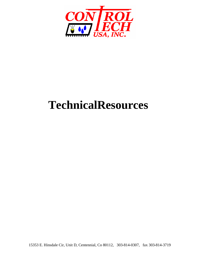

# **TechnicalResources**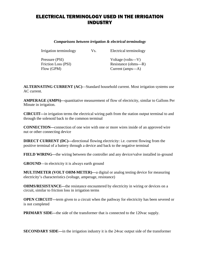#### ELECTRICAL TERMINOLOGY USED IN THE IRRIGATION INDUSTRY

*Comparisons between irrigation & electrical terminology*

Irrigation terminology Vs. Electrical terminology

Pressure (PSI) Voltage (volts—V)

Friction Loss (PSI) Resistance (ohms—R) Flow (GPM) Current (amps—A)

**ALTERNATING CURRENT (AC)**—Standard household current. Most irrigation systems use AC current.

**AMPERAGE (AMPS)—**quantitative measurement of flow of electricity, similar to Gallons Per Minute in irrigation.

**CIRCUIT—**in irrigation terms the electrical wiring path from the station output terminal to and through the solenoid back to the common terminal

**CONNECTION—**connection of one wire with one or more wires inside of an approved wire nut or other connecting device

**DIRECT CURRENT (DC)—**directional flowing electricity: i.e. current flowing from the positive terminal of a battery through a device and back to the negative terminal

**FIELD WIRING—**the wiring between the controller and any device/valve installed in-ground

**GROUND**—in electricity it is always earth ground

**MULTIMETER (VOLT OHM-METER)—**a digital or analog testing device for measuring electricity's characteristics (voltage, amperage, resistance)

**OHMS/RESISTANCE—the resistance encountered by electricity in wiring or devices on a** circuit, similar to friction loss in irrigation terms

**OPEN CIRCUIT—**term given to a circuit when the pathway for electricity has been severed or is not completed

**PRIMARY SIDE—the side of the transformer that is connected to the 120vac supply.** 

**SECONDARY SIDE—**in the irrigation industry it is the 24vac output side of the transformer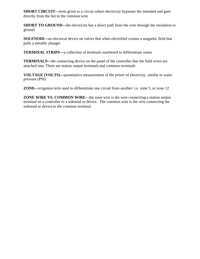**SHORT CIRCUIT—**term given to a circuit where electricity bypasses the intended and goes directly from the hot to the common wire

**SHORT TO GROUND—the electricity has a direct path from the wire through the insulation to** ground

**SOLENOID—**an electrical device on valves that when electrified creates a magnetic field that pulls a metallic plunger

**TERMINAL STRIPS—**a collection of terminals numbered to differentiate zones

**TERMINALS—**the connecting device on the panel of the controller that the field wires are attached into. There are station output terminals and common terminals

**VOLTAGE (VOLTS)—**quantitative measurement of the power of electricity, similar to water pressure (PSI)

**ZONE—**irrigation term used to differentiate one circuit from another: i.e. zone 5, or zone 12

**ZONE WIRE VS. COMMON WIRE**—the zone wire is the wire connecting a station output terminal on a controller to a solenoid or device. The common wire is the wire connecting the solenoid or device to the common terminal.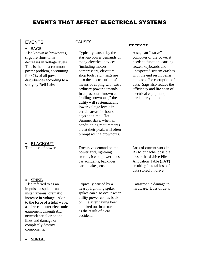### EVENTS THAT AFFECT ELECTRICAL SYSTEMS

| <b>EVENTS</b>                                                                                                                                                                                                                                                                                                                          | <b>CAUSES</b>                                                                                                                                                                                                                                                                                                                                                                                                                                                                                                                                      |                                                                                                                                                                                                                                                                                                                           |
|----------------------------------------------------------------------------------------------------------------------------------------------------------------------------------------------------------------------------------------------------------------------------------------------------------------------------------------|----------------------------------------------------------------------------------------------------------------------------------------------------------------------------------------------------------------------------------------------------------------------------------------------------------------------------------------------------------------------------------------------------------------------------------------------------------------------------------------------------------------------------------------------------|---------------------------------------------------------------------------------------------------------------------------------------------------------------------------------------------------------------------------------------------------------------------------------------------------------------------------|
| <b>SAGS</b><br>Also known as brownouts,<br>sags are short-term<br>decreases in voltage levels.<br>This is the most common<br>power problem, accounting<br>for 87% of all power<br>disturbances according to a<br>study by Bell Labs.                                                                                                   | Typically caused by the<br>start-up power demands of<br>many electrical devices<br>(including motors,<br>compressors, elevators,<br>shop tools, etc.), sags are<br>also the electric utilities'<br>means of coping with extra<br>ordinary power demands.<br>In a procedure known as<br>"rolling brownouts," the<br>utility will systematically<br>lower voltage levels in<br>certain areas for hours or<br>days at a time. Hot<br>Summer days, when air<br>conditioning requirements<br>are at their peak, will often<br>prompt rolling brownouts. | CCCCATO<br>A sag can "starve" a<br>computer of the power it<br>needs to function, causing<br>frozen keyboards and<br>unexpected system crashes<br>with the end result being<br>the loss of/or corruption of<br>data. Sags also reduce the<br>efficiency and life span of<br>electrical equipment,<br>particularly motors. |
| <b>BLACKOUT</b><br>Total loss of power.                                                                                                                                                                                                                                                                                                | Excessive demand on the<br>power grid, lightning<br>storms, ice on power lines,<br>car accidents, backhoes,<br>earthquakes, etc.                                                                                                                                                                                                                                                                                                                                                                                                                   | Loss of current work in<br>RAM or cache, possible<br>loss of hard drive File<br>Allocation Table (FAT)<br>resulting in total loss of<br>data stored on drive.                                                                                                                                                             |
| <b>SPIKE</b><br>Also referred to as an<br>impulse, a spike is an<br>instantaneous, dramatic<br>increase in voltage. Akin<br>to the force of a tidal wave,<br>a spike can enter electronic<br>equipment through AC,<br>network serial or phone<br>lines and damage or<br>completely destroy<br>components.<br><b>SURGE</b><br>$\bullet$ | Typically caused by a<br>nearby lightning spike,<br>spikes can also occur when<br>utility power comes back<br>on line after having been<br>knocked out in a storm or<br>as the result of a car<br>accident.                                                                                                                                                                                                                                                                                                                                        | Catastrophic damage to<br>hardware. Loss of data.                                                                                                                                                                                                                                                                         |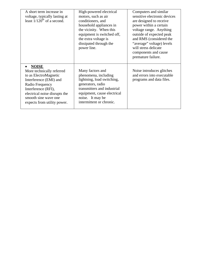| A short term increase in<br>voltage, typically lasting at<br>least $1/120^{th}$ of a second.                                                                                                                                   | High-powered electrical<br>motors, such as air<br>conditioners, and<br>household appliances in<br>the vicinity. When this<br>equipment is switched off,<br>the extra voltage is<br>dissipated through the<br>power line. | Computers and similar<br>sensitive electronic devices<br>are designed to receive<br>power within a certain<br>voltage range. Anything<br>outside of expected peak<br>and RMS (considered the<br>"average" voltage) levels<br>will stress delicate<br>components and cause<br>premature failure. |
|--------------------------------------------------------------------------------------------------------------------------------------------------------------------------------------------------------------------------------|--------------------------------------------------------------------------------------------------------------------------------------------------------------------------------------------------------------------------|-------------------------------------------------------------------------------------------------------------------------------------------------------------------------------------------------------------------------------------------------------------------------------------------------|
| <b>NOISE</b><br>More technically referred<br>to as ElectroMagnetic<br>Interference (EMI) and<br>Radio Frequency<br>Interference (RFI),<br>electrical noise disrupts the<br>smooth sine wave one<br>expects from utility power. | Many factors and<br>phenomena, including<br>lightning, load switching,<br>generators, radio<br>transmitters and industrial<br>equipment, cause electrical<br>noise. It may be<br>intermittent or chronic.                | Noise introduces glitches<br>and errors into executable<br>programs and data files.                                                                                                                                                                                                             |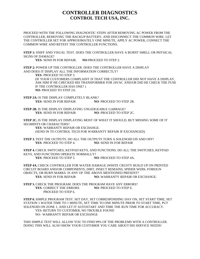#### **CONTROLLER DIAGNOSTICS CONTROL TECH USA, INC.**

PROCEED WITH THE FOLLOWING DIAGNOSTIC STEPS AFTER REMOVING AC POWER FROM THE CONTROLLER, REMOVING THE BACKUP BATTERY, AND DISCONNECT THE COMMON WIRE. LET THE CONTROLLER SET FOR APPROXIMATELY ONE MINUTE, APPLY AC POWER, CONNECT THE COMMON WIRE AND RETEST THE CONTROLLER FUNCTIONS.

**STEP 1:** SNIFF AND VISUAL TEST. DOES THE CONTROLLER HAVE A BURNT SMELL OR PHYSICAL SIGNS OF DAMAGE?

**YES**- SEND IN FOR REPAIR. **NO**-PROCEED TO STEP 2.

**STEP 2:** POWER UP THE CONTROLLER. DOES THE CONTROLLER HAVE A DISPLAY AND DOES IT DISPLAY ALL THE INFORMATION CORRECTLY?

**YES**- PROCEED TO STEP 3.

(IF YOUR CUSTOMERS COMPLAINT IS THAT THE CONTROLLER DID NOT HAVE A DISPLAY, ASK HIM IF HE CHECKED HIS TRANSFORMER FOR 24VAC AND/OR DID HE CHECK THE FUSE IF THE CONTROLLER HAS ONE? ) **NO**- PROCEED TO STEP 2A.

**STEP 2A:** IS THE DISPLAY COMPLETELY BLANK? **YES**- SEND IN FOR REPAIR **NO**- PROCEED TO STEP 2B.

**STEP 2B.** IS THE DISPLAY DISPLAYING UNLEDGEABLE GARBAGE? **YES**- SEND IN FOR REPAIR **NO**- PROCEED TO STEP 2C.

**STEP 2C.** IS THE DISPLAY DISPLAYING MOST OF WHAT IT SHOULD, BUT MISSING SOME OF IT SEGMENTS OR CHARACTERS?

**YES**- WARRANTY REPAIR OR EXCHANGE. (SEND IN TO CONTROL TECH FOR WARRANTY REPAIR IF EXCHANGED)

**STEP 3.** TEST THE OUTPUTS. DO ALL THE OUTPUTS TURN A SOLENOID ON AND OFF? **YES**- PROCEED TO STEP 4. **NO**- SEND IN FOR REPAIR

**STEP 4.** CHECK SWITCHES, KEYPAD KEYS, AND FUNCTIONS. DO ALL THE SWITCHES, KEYPAD KEYS, AND FUNCTIONS OPERATE NORMALLY? **YES**- PROCEED TO STEP 5. **NO**- PROCEED TO STEP 4A.

**STEP 4A.** CHECK CONTROLLER FOR WATER DAMAGE (WHITE CRUSTY BUILD UP ON PRINTED CIRCUIT BOARD AND/OR COMPONENTS, DIRT, INSECT REMAINS, SPIDER WEBS, FOREIGN OBJECTS, OR BURN MARKS. IS ANY OF THE ABOVE MENTIONED PRESENT? **YES**- SEND IN FOR REPAIR **NO**- WARRANTY REPAIR OR EXCHANGE.

**STEP 5.** CHECK THE PROGRAM. DOES THE PROGRAM HAVE ANY ERRORS? **YES**- CORRECT THE ERRORS. **NO**- PROCEED TO STEP 6. PROCEED TO STEP 6.

**STEP 6.** SIMPLE PROGRAM TEST. SET DAY, SET CORRESPONDING DAY ON, SET START TIME, SET STATION 1 WATER TIME TO 1 MINUTE, SET TIME TO ONE MINUTE PRIOR TO START TIME, PUT SOLENOID ON ZONE 1, AND LET IT AUTOSTART AND TIME THE RUN TIME FOR ACCURACY. YES- RETURN TO CUSTOMER, NO TROUBLE FOUND NO- WARRANTY REPAIR OR EXCHANGE

THIS SIMPLE TEST WILL ALLOW YOU TO FIND 99% OF THE PROBLEMS WITH A CONTROLLER. DOING THIS WILL ALSO SHOW YOUR CUSTOMER YOU CARE ABOUT HIS SERVICE NEEDS!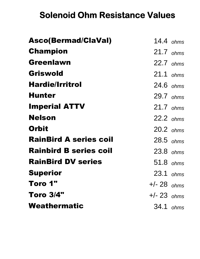# **Solenoid Ohm Resistance Values**

| Asco(Bermad/ClaVal)           | $14.4$ ohms   |  |
|-------------------------------|---------------|--|
| <b>Champion</b>               | $21.7$ ohms   |  |
| Greenlawn                     | 22.7 ohms     |  |
| Griswold                      | $21.1$ ohms   |  |
| <b>Hardie/Irritrol</b>        | $24.6$ ohms   |  |
| <b>Hunter</b>                 | $29.7$ ohms   |  |
| <b>Imperial ATTV</b>          | $21.7$ ohms   |  |
| <b>Nelson</b>                 | $22.2$ ohms   |  |
| <b>Orbit</b>                  | $20.2$ ohms   |  |
| <b>RainBird A series coil</b> | 28.5 ohms     |  |
| <b>Rainbird B series coil</b> | $23.8$ ohms   |  |
| <b>RainBird DV series</b>     | 51.8 ohms     |  |
| <b>Superior</b>               | $23.1$ ohms   |  |
| Toro 1"                       | $+/- 28$ ohms |  |
| <b>Toro 3/4"</b>              | $+/- 23$ ohms |  |
| Weathermatic                  | 34.1 ohms     |  |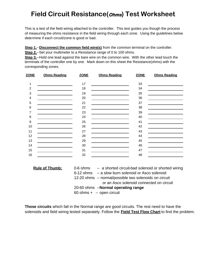## **Field Circuit Resistance(Ohms) Test Worksheet**

This is a test of the field wiring attached to the controller. This test guides you though the process of measuring the ohms resistance in the field wiring through each zone. Using the guidelines below determine if each circuit/zone is good or bad.

**Step 1.--Disconnect the common field wire(s)** from the common terminal on the controller.

**Step 2.**--Set your multimeter to a Resistance range of 0 to 100 ohms.

**Step 3.--Hold one lead against the bare wire on the common wire. With the other lead touch the** terminals of the controller one by one. Mark down on this sheet the Resistance(ohms) with the corresponding zones.

| ZONE           | <b>Ohms Reading</b> | <b>ZONE</b> | <b>Ohms Reading</b>                             | <b>ZONE</b> | <b>Ohms Reading</b> |
|----------------|---------------------|-------------|-------------------------------------------------|-------------|---------------------|
| 1              |                     | 17          |                                                 | 33          |                     |
| $\overline{2}$ |                     | 18          | <u> 1980 - Johann Barbara, martxa al</u>        | 34          |                     |
| $\mathbf{3}$   |                     | 19          |                                                 | 35          |                     |
| 4              |                     | 20          |                                                 | 36          |                     |
| 5              |                     | 21          |                                                 | 37          |                     |
| $\,6$          |                     | 22          |                                                 | 38          |                     |
| 7              |                     | 23          | the contract of the contract of the contract of | 39          |                     |
| 8              |                     | 24          |                                                 | 40          |                     |
| 9              |                     | 25          |                                                 | 41          |                     |
| 10             |                     | 26          |                                                 | 42          |                     |
| 11             |                     | 27          |                                                 | 43          |                     |
| 12             |                     | 28          |                                                 | 44          |                     |
| 13             |                     | 29          |                                                 | 45          |                     |
| 14             |                     | 30          |                                                 | 46          |                     |
| 15             |                     | 31          |                                                 | 47          |                     |
| 16             |                     | 32          |                                                 | 48          |                     |

| <b>Rule of Thumb:</b> | -- a shorted circuit-bad solenoid or shorted wiring<br>0-6 ohms |
|-----------------------|-----------------------------------------------------------------|
|                       | 6-12 ohms -- a slow burn solenoid or Asco solenoid              |
|                       | 12-20 ohms -- normal/possible two solenoids on circuit          |
|                       | or an Asco solenoid connected on circuit                        |
|                       | 20-60 ohms --Normal operating range                             |
|                       | 60 ohms + -- open circuit                                       |

**Those circuits** which fall in the Normal range are good circuits. The rest need to have the solenoids and field wiring tested separately. Follow the **Field Test Flow Chart** to find the problem.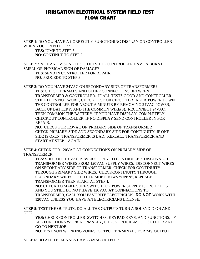#### IRRIGATION ELECTRICAL SYSTEM FIELD TEST FLOW CHART

**STEP 1:** DO YOU HAVE A CORRECTLY FUNCTIONING DISPLAY ON CONTROLLER WHEN YOU OPEN DOOR?

**YES:** JUMP TO STEP 5 **NO:** CONTINUE TO STEP 2

**STEP 2:** SNIFF AND VISUAL TEST. DOES THE CONTROLLER HAVE A BURNT SMELL OR PHYSICAL SIGN OF DAMAGE?

**YES**: SEND IN CONTROLLER FOR REPAIR. **NO**: PROCEDE TO STEP 3

**STEP 3:** DO YOU HAVE 24VAC ON SECONDARY SIDE OF TRANSFORMER? **YES**: CHECK TERMALS AND OTHER CONNECTIONS BETWEEN TRANSFORMER & CONTROLLER. IF ALL TESTS GOOD AND CONTROLLER STILL DOES NOT WORK, CHECK FUSE OR CIRCUITBREAKER. POWER DOWN THE CONTROLLER FOR ABOUT A MINUTE BY REMOVING 24VAC POWER, BACK UP BATTERY, AND THE COMMON WIRE(S). RECONNECT 24VAC, THEN COMMON THE BATTERY. IF YOU HAVE DISPLAY, COMPLETELY CHECKOUT CONTROLLER, IF NO DISPLAY SEND CONTROLLER IN FOR REPAIR.

**NO:** CHECK FOR 120VAC ON PRIMARY SIDE OF TRANSFORMER CHECK PRIMARY SIDE AND SECONDARY SIDE FOR CONTINUITY, IF ONE SIDE IS OPEN, TRANSFORMER IS BAD. REPLACE TRANSFORMER AND START AT STEP 1 AGAIN.

**STEP 4:** CHECK FOR 120VAC AT CONNECTIONS ON PRIMARY SIDE OF TRANSFORMER

**YES:** SHUT OFF 120VAC POWER SUPPLY TO CONTROLLER. DISCONNECT TRANSFORMER WIRES FROM 120VAC SUPPLY WIRES. DISCONNECT WIRES ON SECONDARY SIDE OF TRANSFORMER. CHECK FOR CONTINUITY THROUGH PRIMARY SIDE WIRES. CHECKCONTINUITY THROUGH SECONDARY WIRES. IF EITHER SIDE SHOWS "OPEN", REPLACE TRANSFORMER THEN START AT STEP 1.

**NO**: CHECK TO MAKE SURE SWITCH FOR POWER SUPPLY IS ON. IF IT IS AND YOU STILL DO NOT HAVE 120VAC AT CONNECTIONS TO TRANSFORMER, CALL YOU FAVORITE ELECTRICIAN. **DO NOT** WORK WITH 120VAC UNLESS YOU HAVE AN ELECTRICIANS LICENSE.

**STEP 5:** TEST THE OUTPUTS. DO ALL THE OUTPUTS TURN A SOLENOID ON AND OFF?

**YES:** CHECK CONTROLLER SWITCHES, KEYPAD KEYS, AND FUNCTIONS. IF ALL FUNCTIONS WORK NORMALLY, CHECK PROGRAM, CLOSE DOOR AND GO TO NEXT JOB.

**NO:** TEST NON WORKING ZONES' OUTPUT TERMINALS FOR 24V OUTPUT.

**STEP 6:** DO ALL TERMINALS HAVE 24VAC OUTPUT?